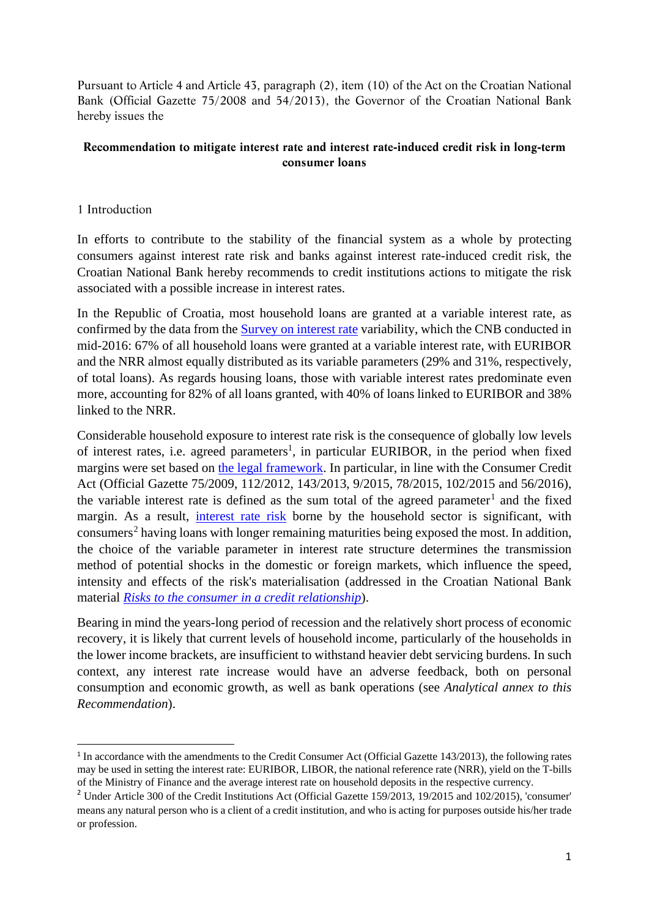Pursuant to Article 4 and Article 43, paragraph (2), item (10) of the Act on the Croatian National Bank (Official Gazette 75/2008 and 54/2013), the Governor of the Croatian National Bank hereby issues the

## **Recommendation to mitigate interest rate and interest rate-induced credit risk in long-term consumer loans**

## 1 Introduction

In efforts to contribute to the stability of the financial system as a whole by protecting consumers against interest rate risk and banks against interest rate-induced credit risk, the Croatian National Bank hereby recommends to credit institutions actions to mitigate the risk associated with a possible increase in interest rates.

In the Republic of Croatia, most household loans are granted at a variable interest rate, as confirmed by the data from the [Survey on interest rate](http://www.hnb.hr/documents/20182/1999690/e-mpd-2-2017.pdf/539d267b-35f0-4b68-8792-e04b5eeb7dcc) variability, which the CNB conducted in mid-2016: 67% of all household loans were granted at a variable interest rate, with EURIBOR and the NRR almost equally distributed as its variable parameters (29% and 31%, respectively, of total loans). As regards housing loans, those with variable interest rates predominate even more, accounting for 82% of all loans granted, with 40% of loans linked to EURIBOR and 38% linked to the NRR.

Considerable household exposure to interest rate risk is the consequence of globally low levels of interest rates, i.e. agreed parameters<sup>1</sup>, in particular EURIBOR, in the period when fixed margins were set based on [the legal framework.](http://narodne-novine.nn.hr/clanci/sluzbeni/2015_09_102_1973.html) In particular, in line with the Consumer Credit Act (Official Gazette 75/2009, 112/2012, 143/2013, 9/2015, 78/2015, 102/2015 and 56/2016), the variable interest rate is defined as the sum total of the agreed parameter<sup>[1](#page-0-0)</sup> and the fixed margin. As a result, [interest rate risk](https://www.hnb.hr/documents/20182/708449/Risks+to+the+consumer+in+a+credit+relationship.pdf/908d45f0-43fa-460a-a3ac-e5b85c962d98) borne by the household sector is significant, with  $\mu$  consumers<sup>[2](#page-0-1)</sup> having loans with longer remaining maturities being exposed the most. In addition, the choice of the variable parameter in interest rate structure determines the transmission method of potential shocks in the domestic or foreign markets, which influence the speed, intensity and effects of the risk's materialisation (addressed in the Croatian National Bank material *[Risks to the consumer in](https://www.hnb.hr/documents/20182/708449/Risks+to+the+consumer+in+a+credit+relationship.pdf/908d45f0-43fa-460a-a3ac-e5b85c962d98) a credit relationship*).

Bearing in mind the years-long period of recession and the relatively short process of economic recovery, it is likely that current levels of household income, particularly of the households in the lower income brackets, are insufficient to withstand heavier debt servicing burdens. In such context, any interest rate increase would have an adverse feedback, both on personal consumption and economic growth, as well as bank operations (see *Analytical annex to this Recommendation*).

<span id="page-0-0"></span><sup>&</sup>lt;sup>1</sup> In accordance with the amendments to the Credit Consumer Act (Official Gazette 143/2013), the following rates may be used in setting the interest rate: EURIBOR, LIBOR, the national reference rate (NRR), yield on the T-bills of the Ministry of Finance and the average interest rate on household deposits in the respective currency.

<span id="page-0-1"></span><sup>&</sup>lt;sup>2</sup> Under Article 300 of the Credit Institutions Act (Official Gazette 159/2013, 19/2015 and 102/2015), 'consumer' means any natural person who is a client of a credit institution, and who is acting for purposes outside his/her trade or profession.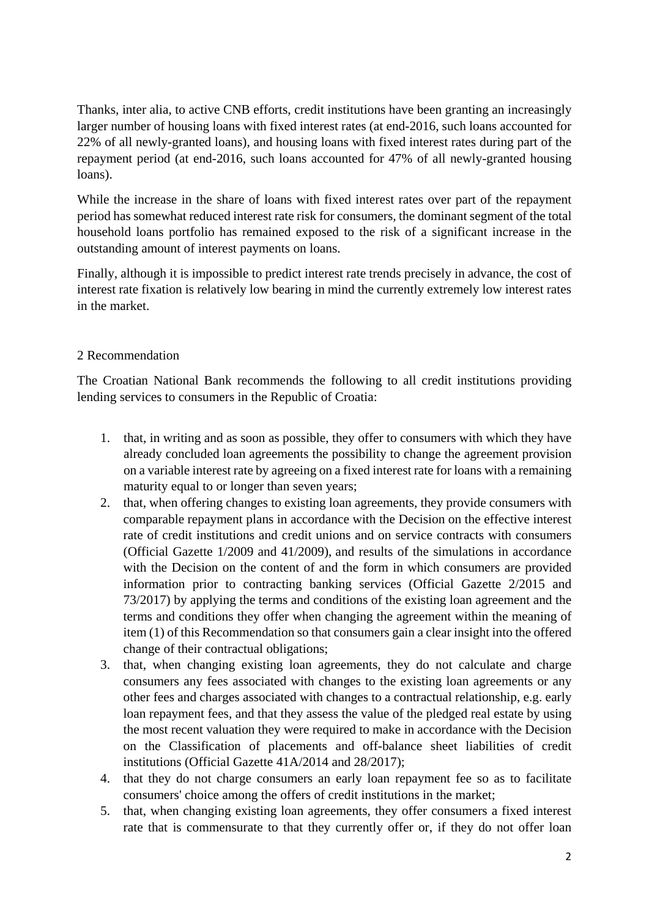Thanks, inter alia, to active CNB efforts, credit institutions have been granting an increasingly larger number of housing loans with fixed interest rates (at end-2016, such loans accounted for 22% of all newly-granted loans), and housing loans with fixed interest rates during part of the repayment period (at end-2016, such loans accounted for 47% of all newly-granted housing loans).

While the increase in the share of loans with fixed interest rates over part of the repayment period has somewhat reduced interest rate risk for consumers, the dominant segment of the total household loans portfolio has remained exposed to the risk of a significant increase in the outstanding amount of interest payments on loans.

Finally, although it is impossible to predict interest rate trends precisely in advance, the cost of interest rate fixation is relatively low bearing in mind the currently extremely low interest rates in the market.

## 2 Recommendation

The Croatian National Bank recommends the following to all credit institutions providing lending services to consumers in the Republic of Croatia:

- 1. that, in writing and as soon as possible, they offer to consumers with which they have already concluded loan agreements the possibility to change the agreement provision on a variable interest rate by agreeing on a fixed interest rate for loans with a remaining maturity equal to or longer than seven years;
- 2. that, when offering changes to existing loan agreements, they provide consumers with comparable repayment plans in accordance with the Decision on the effective interest rate of credit institutions and credit unions and on service contracts with consumers (Official Gazette 1/2009 and 41/2009), and results of the simulations in accordance with the Decision on the content of and the form in which consumers are provided information prior to contracting banking services (Official Gazette 2/2015 and 73/2017) by applying the terms and conditions of the existing loan agreement and the terms and conditions they offer when changing the agreement within the meaning of item (1) of this Recommendation so that consumers gain a clear insight into the offered change of their contractual obligations;
- 3. that, when changing existing loan agreements, they do not calculate and charge consumers any fees associated with changes to the existing loan agreements or any other fees and charges associated with changes to a contractual relationship, e.g. early loan repayment fees, and that they assess the value of the pledged real estate by using the most recent valuation they were required to make in accordance with the Decision on the Classification of placements and off-balance sheet liabilities of credit institutions (Official Gazette 41A/2014 and 28/2017);
- 4. that they do not charge consumers an early loan repayment fee so as to facilitate consumers' choice among the offers of credit institutions in the market;
- 5. that, when changing existing loan agreements, they offer consumers a fixed interest rate that is commensurate to that they currently offer or, if they do not offer loan